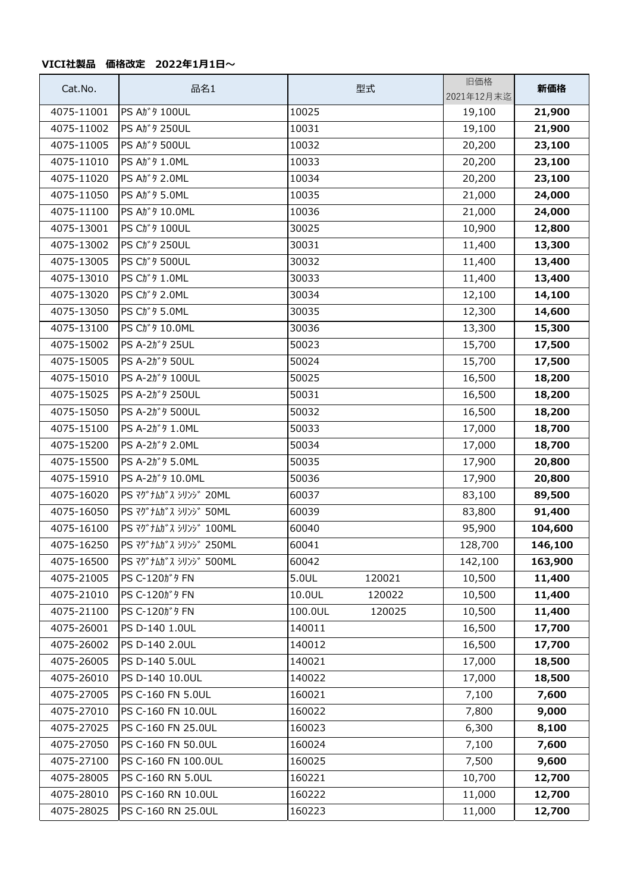## **VICI社製品 価格改定 2022年1月1日~**

| Cat.No.    | 品名1                         | 型式                | 旧価格<br>2021年12月末迄 | 新価格     |
|------------|-----------------------------|-------------------|-------------------|---------|
| 4075-11001 | PS Aガタ 100UL                | 10025             | 19,100            | 21,900  |
| 4075-11002 | PS Aガタ 250UL                | 10031             | 19,100            | 21,900  |
| 4075-11005 | <b>PS Aガタ 500UL</b>         | 10032             | 20,200            | 23,100  |
| 4075-11010 | PS At* 9 1.0ML              | 10033             | 20,200            | 23,100  |
| 4075-11020 | PS At* 9 2.0ML              | 10034             | 20,200            | 23,100  |
| 4075-11050 | PS At* 9 5.0ML              | 10035             | 21,000            | 24,000  |
| 4075-11100 | PS At* 9 10.0ML             | 10036             | 21,000            | 24,000  |
| 4075-13001 | PS Ch <sup>*</sup> 9 100UL  | 30025             | 10,900            | 12,800  |
| 4075-13002 | PS Ch <sup>*</sup> 9 250UL  | 30031             | 11,400            | 13,300  |
| 4075-13005 | PS Ch <sup>*</sup> 9 500UL  | 30032             | 11,400            | 13,400  |
| 4075-13010 | PS Ct <sup>*</sup> 9 1.0ML  | 30033             | 11,400            | 13,400  |
| 4075-13020 | PS Ch <sup>*</sup> 9 2.0ML  | 30034             | 12,100            | 14,100  |
| 4075-13050 | PS Ch <sup>*</sup> 9 5.0ML  | 30035             | 12,300            | 14,600  |
| 4075-13100 | PS Ch <sup>*</sup> 9 10.0ML | 30036             | 13,300            | 15,300  |
| 4075-15002 | PS A-2ガタ 25UL               | 50023             | 15,700            | 17,500  |
| 4075-15005 | PS A-2ガタ 50UL               | 50024             | 15,700            | 17,500  |
| 4075-15010 | PS A-2ガタ 100UL              | 50025             | 16,500            | 18,200  |
| 4075-15025 | PS A-2ガタ 250UL              | 50031             | 16,500            | 18,200  |
| 4075-15050 | PS A-2ガタ 500UL              | 50032             | 16,500            | 18,200  |
| 4075-15100 | PS A-2ガタ 1.0ML              | 50033             | 17,000            | 18,700  |
| 4075-15200 | PS A-2ガタ 2.0ML              | 50034             | 17,000            | 18,700  |
| 4075-15500 | PS A-2ガタ 5.0ML              | 50035             | 17,900            | 20,800  |
| 4075-15910 | PS A-2ガタ 10.0ML             | 50036             | 17,900            | 20,800  |
| 4075-16020 | PS マグナムガス シリンジ 20ML         | 60037             | 83,100            | 89,500  |
| 4075-16050 | PS マグナムガス シリンジ 50ML         | 60039             | 83,800            | 91,400  |
| 4075-16100 | PS マグナムガス シリンジ 100ML        | 60040             | 95,900            | 104,600 |
| 4075-16250 | PS マグナムガス シリンジ 250ML        | 60041             | 128,700           | 146,100 |
| 4075-16500 | PS マグナムガス シリンジ 500ML        | 60042             | 142,100           | 163,900 |
| 4075-21005 | PS C-120ガタ FN               | 5.0UL<br>120021   | 10,500            | 11,400  |
| 4075-21010 | PS C-120ガタ FN               | 10.0UL<br>120022  | 10,500            | 11,400  |
| 4075-21100 | PS C-120ガタ FN               | 100.0UL<br>120025 | 10,500            | 11,400  |
| 4075-26001 | PS D-140 1.0UL              | 140011            | 16,500            | 17,700  |
| 4075-26002 | PS D-140 2.0UL              | 140012            | 16,500            | 17,700  |
| 4075-26005 | PS D-140 5.0UL              | 140021            | 17,000            | 18,500  |
| 4075-26010 | PS D-140 10.0UL             | 140022            | 17,000            | 18,500  |
| 4075-27005 | PS C-160 FN 5.0UL           | 160021            | 7,100             | 7,600   |
| 4075-27010 | PS C-160 FN 10.0UL          | 160022            | 7,800             | 9,000   |
| 4075-27025 | PS C-160 FN 25.0UL          | 160023            | 6,300             | 8,100   |
| 4075-27050 | PS C-160 FN 50.0UL          | 160024            | 7,100             | 7,600   |
| 4075-27100 | PS C-160 FN 100.0UL         | 160025            | 7,500             | 9,600   |
| 4075-28005 | PS C-160 RN 5.0UL           | 160221            | 10,700            | 12,700  |
| 4075-28010 | PS C-160 RN 10.0UL          | 160222            | 11,000            | 12,700  |
| 4075-28025 | PS C-160 RN 25.0UL          | 160223            | 11,000            | 12,700  |